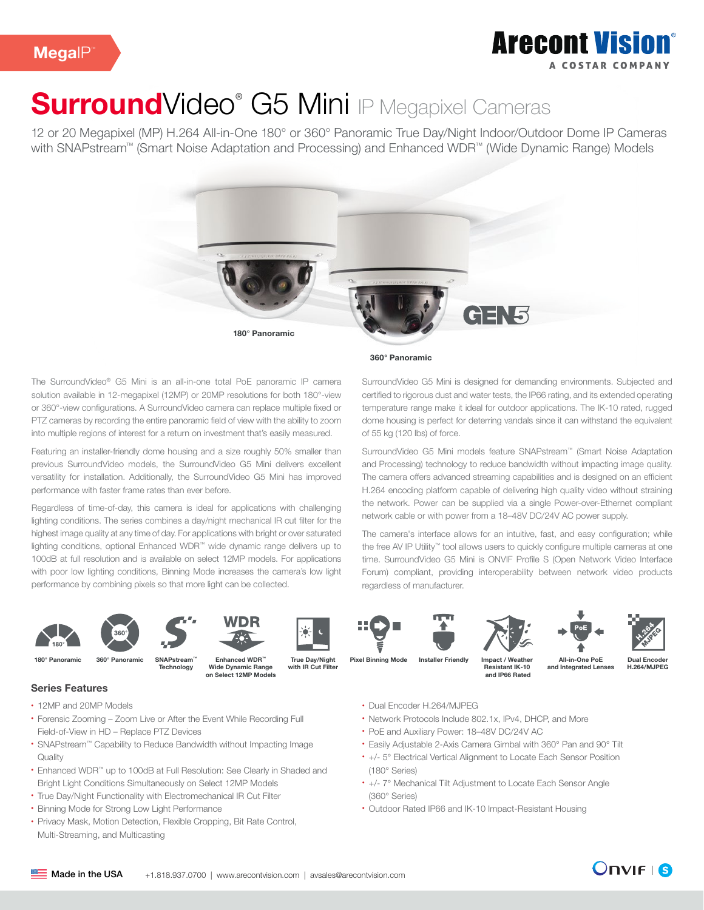### **Arecont Vision** A COSTAD COMPANY

# SurroundVideo<sup>®</sup> G5 Mini IP Megapixel Cameras

12 or 20 Megapixel (MP) H.264 All-in-One 180° or 360° Panoramic True Day/Night Indoor/Outdoor Dome IP Cameras with SNAPstream™ (Smart Noise Adaptation and Processing) and Enhanced WDR™ (Wide Dynamic Range) Models



The SurroundVideo® G5 Mini is an all-in-one total PoE panoramic IP camera solution available in 12-megapixel (12MP) or 20MP resolutions for both 180°-view or 360°-view configurations. A SurroundVideo camera can replace multiple fixed or PTZ cameras by recording the entire panoramic field of view with the ability to zoom into multiple regions of interest for a return on investment that's easily measured.

Featuring an installer-friendly dome housing and a size roughly 50% smaller than previous SurroundVideo models, the SurroundVideo G5 Mini delivers excellent versatility for installation. Additionally, the SurroundVideo G5 Mini has improved performance with faster frame rates than ever before.

Regardless of time-of-day, this camera is ideal for applications with challenging lighting conditions. The series combines a day/night mechanical IR cut filter for the highest image quality at any time of day. For applications with bright or over saturated lighting conditions, optional Enhanced WDR™ wide dynamic range delivers up to 100dB at full resolution and is available on select 12MP models. For applications with poor low lighting conditions, Binning Mode increases the camera's low light performance by combining pixels so that more light can be collected.









**Technology** 

Wide Dynamic Range on Select 12MP Models

True Day/Night with IR Cut Filter











180° Panoramic 360° Panoramic SNAPstream™ Enhanced WDR™ True Day/Night Pixel Binning Mode Installer Friendly

and IP66 Rated All-in-One PoE

Dual Encoder H.264/MJPEG

• Dual Encoder H.264/MJPEG

- Network Protocols Include 802.1x, IPv4, DHCP, and More
- PoE and Auxiliary Power: 18–48V DC/24V AC
- Easily Adjustable 2-Axis Camera Gimbal with 360° Pan and 90° Tilt
- +/- 5° Electrical Vertical Alignment to Locate Each Sensor Position (180° Series)
- +/- 7° Mechanical Tilt Adjustment to Locate Each Sensor Angle (360° Series)
- Outdoor Rated IP66 and IK-10 Impact-Resistant Housing

Series Features

- 12MP and 20MP Models
- Forensic Zooming Zoom Live or After the Event While Recording Full Field-of-View in HD – Replace PTZ Devices
- SNAPstream™ Capability to Reduce Bandwidth without Impacting Image **Quality**
- Enhanced WDR™ up to 100dB at Full Resolution: See Clearly in Shaded and Bright Light Conditions Simultaneously on Select 12MP Models
- True Day/Night Functionality with Electromechanical IR Cut Filter
- Binning Mode for Strong Low Light Performance
- Privacy Mask, Motion Detection, Flexible Cropping, Bit Rate Control, Multi-Streaming, and Multicasting





360° Panoramic

SurroundVideo G5 Mini is designed for demanding environments. Subjected and certified to rigorous dust and water tests, the IP66 rating, and its extended operating temperature range make it ideal for outdoor applications. The IK-10 rated, rugged dome housing is perfect for deterring vandals since it can withstand the equivalent of 55 kg (120 lbs) of force.

SurroundVideo G5 Mini models feature SNAPstream™ (Smart Noise Adaptation and Processing) technology to reduce bandwidth without impacting image quality. The camera offers advanced streaming capabilities and is designed on an efficient H.264 encoding platform capable of delivering high quality video without straining the network. Power can be supplied via a single Power-over-Ethernet compliant network cable or with power from a 18–48V DC/24V AC power supply.

The camera's interface allows for an intuitive, fast, and easy configuration; while the free AV IP Utility™ tool allows users to quickly configure multiple cameras at one time. SurroundVideo G5 Mini is ONVIF Profile S (Open Network Video Interface Forum) compliant, providing interoperability between network video products regardless of manufacturer.

Impact / Weather Resistant IK-10

and Integrated Lens

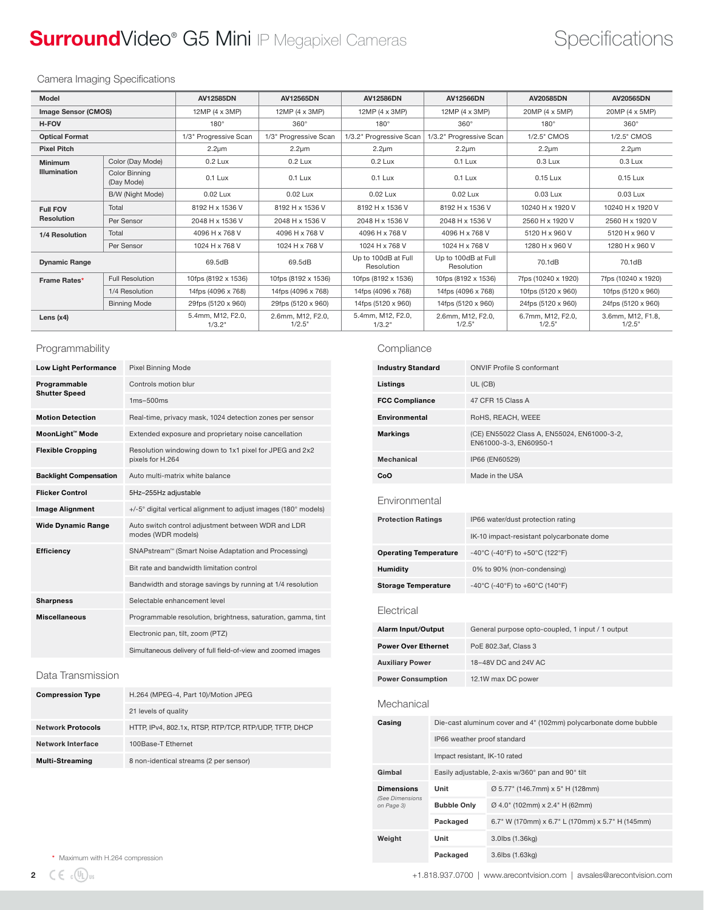## SurroundVideo® G5 Mini IP Megapixel Cameras Specifications

### Camera Imaging Specifications

| Model                      |                             | AV12585DN                   | <b>AV12565DN</b>            | <b>AV12586DN</b>                  | <b>AV12566DN</b>                  | AV20585DN                      | AV20565DN                   |
|----------------------------|-----------------------------|-----------------------------|-----------------------------|-----------------------------------|-----------------------------------|--------------------------------|-----------------------------|
| <b>Image Sensor (CMOS)</b> |                             | $12MP(4 \times 3MP)$        | 12MP (4 x 3MP)              | 12MP (4 x 3MP)                    | 12MP (4 x 3MP)                    | 20MP (4 x 5MP)                 | 20MP (4 x 5MP)              |
| <b>H-FOV</b>               |                             | $180^\circ$                 | $360^\circ$                 | $180^\circ$                       | $360^\circ$                       | $180^\circ$                    | $360^\circ$                 |
| <b>Optical Format</b>      |                             | 1/3" Progressive Scan       | 1/3" Progressive Scan       | 1/3.2" Progressive Scan           | 1/3.2" Progressive Scan           | 1/2.5" CMOS                    | 1/2.5" CMOS                 |
| <b>Pixel Pitch</b>         |                             | $2.2 \mu m$                 | $2.2 \mu m$                 | $2.2 \mu m$                       | $2.2 \mu m$                       | $2.2 \mu m$                    | $2.2 \mu m$                 |
| <b>Minimum</b>             | Color (Day Mode)            | $0.2$ Lux                   | $0.2$ Lux                   | $0.2$ Lux                         | $0.1$ Lux                         | $0.3$ Lux                      | $0.3$ Lux                   |
| <b>Illumination</b>        | Color Binning<br>(Day Mode) | $0.1$ Lux                   | $0.1$ Lux                   | $0.1$ Lux                         | $0.1$ Lux                         | 0.15 Lux                       | 0.15 Lux                    |
|                            | B/W (Night Mode)            | 0.02 Lux                    | 0.02 Lux                    | 0.02 Lux                          | 0.02 Lux                          | 0.03 Lux                       | 0.03 Lux                    |
| <b>Full FOV</b>            | Total                       | 8192 H x 1536 V             | 8192 H x 1536 V             | 8192 H x 1536 V                   | 8192 H x 1536 V                   | 10240 H x 1920 V               | 10240 H x 1920 V            |
| <b>Resolution</b>          | Per Sensor                  | 2048 H x 1536 V             | 2048 H x 1536 V             | 2048 H x 1536 V                   | 2048 H x 1536 V                   | 2560 H x 1920 V                | 2560 H x 1920 V             |
| 1/4 Resolution             | Total                       | 4096 H x 768 V              | 4096 H x 768 V              | 4096 H x 768 V                    | 4096 H x 768 V                    | 5120 H x 960 V                 | 5120 H x 960 V              |
|                            | Per Sensor                  | 1024 H x 768 V              | 1024 H x 768 V              | 1024 H x 768 V                    | 1024 H x 768 V                    | 1280 H x 960 V                 | 1280 H x 960 V              |
| <b>Dynamic Range</b>       |                             | 69.5dB                      | 69.5dB                      | Up to 100dB at Full<br>Resolution | Up to 100dB at Full<br>Resolution | 70.1dB                         | 70.1dB                      |
| Frame Rates*               | <b>Full Resolution</b>      | 10fps (8192 x 1536)         | 10fps (8192 x 1536)         | 10fps (8192 x 1536)               | 10fps (8192 x 1536)               | 7fps (10240 x 1920)            | 7fps (10240 x 1920)         |
|                            | 1/4 Resolution              | 14fps (4096 x 768)          | 14fps (4096 x 768)          | 14fps (4096 x 768)                | 14fps (4096 x 768)                | 10fps (5120 x 960)             | 10fps (5120 x 960)          |
|                            | <b>Binning Mode</b>         | 29fps (5120 x 960)          | 29fps (5120 x 960)          | 14fps (5120 x 960)                | 14fps (5120 x 960)                | 24fps (5120 x 960)             | 24fps (5120 x 960)          |
| Lens $(x4)$                |                             | 5.4mm, M12, F2.0,<br>1/3.2" | 2.6mm, M12, F2.0,<br>1/2.5" | 5.4mm, M12, F2.0.<br>1/3.2"       | 2.6mm, M12, F2.0,<br>1/2.5"       | 6.7mm, M12, F2.0,<br>$1/2.5$ " | 3.6mm, M12, F1.8,<br>1/2.5" |

### Programmability

| <b>Low Light Performance</b>  | <b>Pixel Binning Mode</b>                                                   |  |  |  |
|-------------------------------|-----------------------------------------------------------------------------|--|--|--|
| Programmable                  | Controls motion blur                                                        |  |  |  |
| <b>Shutter Speed</b>          | $1ms-500ms$                                                                 |  |  |  |
| <b>Motion Detection</b>       | Real-time, privacy mask, 1024 detection zones per sensor                    |  |  |  |
| MoonLight™ Mode               | Extended exposure and proprietary noise cancellation                        |  |  |  |
| <b>Flexible Cropping</b>      | Resolution windowing down to 1x1 pixel for JPEG and 2x2<br>pixels for H.264 |  |  |  |
| <b>Backlight Compensation</b> | Auto multi-matrix white balance                                             |  |  |  |
| <b>Flicker Control</b>        | 5Hz-255Hz adjustable                                                        |  |  |  |
| <b>Image Alignment</b>        | +/-5° digital vertical alignment to adjust images (180° models)             |  |  |  |
| <b>Wide Dynamic Range</b>     | Auto switch control adjustment between WDR and LDR<br>modes (WDR models)    |  |  |  |
| <b>Efficiency</b>             | SNAPstream™ (Smart Noise Adaptation and Processing)                         |  |  |  |
|                               | Bit rate and bandwidth limitation control                                   |  |  |  |
|                               | Bandwidth and storage savings by running at 1/4 resolution                  |  |  |  |
| <b>Sharpness</b>              | Selectable enhancement level                                                |  |  |  |
| <b>Miscellaneous</b>          | Programmable resolution, brightness, saturation, gamma, tint                |  |  |  |
|                               | Electronic pan, tilt, zoom (PTZ)                                            |  |  |  |
|                               | Simultaneous delivery of full field-of-view and zoomed images               |  |  |  |

### Data Transmission

| <b>Compression Type</b>  | H.264 (MPEG-4, Part 10)/Motion JPEG                    |
|--------------------------|--------------------------------------------------------|
|                          | 21 levels of quality                                   |
| <b>Network Protocols</b> | HTTP, IPv4, 802.1x, RTSP, RTP/TCP, RTP/UDP, TFTP, DHCP |
| Network Interface        | 100Base-T Ethernet                                     |
| <b>Multi-Streaming</b>   | 8 non-identical streams (2 per sensor)                 |

### Compliance

| <b>Industry Standard</b>      |                                                   |                                                                  | <b>ONVIF Profile S conformant</b>                                     |  |  |  |
|-------------------------------|---------------------------------------------------|------------------------------------------------------------------|-----------------------------------------------------------------------|--|--|--|
| Listings                      |                                                   |                                                                  | UL (CB)                                                               |  |  |  |
| <b>FCC Compliance</b>         |                                                   |                                                                  | 47 CFR 15 Class A                                                     |  |  |  |
| Environmental                 |                                                   |                                                                  | RoHS, REACH, WEEE                                                     |  |  |  |
| <b>Markings</b>               |                                                   |                                                                  | (CE) EN55022 Class A, EN55024, EN61000-3-2,<br>EN61000-3-3, EN60950-1 |  |  |  |
| <b>Mechanical</b>             |                                                   |                                                                  | IP66 (EN60529)                                                        |  |  |  |
| CoO                           |                                                   |                                                                  | Made in the USA                                                       |  |  |  |
| Environmental                 |                                                   |                                                                  |                                                                       |  |  |  |
| <b>Protection Ratings</b>     |                                                   |                                                                  | IP66 water/dust protection rating                                     |  |  |  |
|                               |                                                   | IK-10 impact-resistant polycarbonate dome                        |                                                                       |  |  |  |
| <b>Operating Temperature</b>  |                                                   |                                                                  | -40°C (-40°F) to +50°C (122°F)                                        |  |  |  |
| <b>Humidity</b>               |                                                   |                                                                  | 0% to 90% (non-condensing)                                            |  |  |  |
| Storage Temperature           |                                                   |                                                                  | -40°C (-40°F) to +60°C (140°F)                                        |  |  |  |
| Electrical                    |                                                   |                                                                  |                                                                       |  |  |  |
| <b>Alarm Input/Output</b>     |                                                   | General purpose opto-coupled, 1 input / 1 output                 |                                                                       |  |  |  |
| <b>Power Over Ethernet</b>    |                                                   | PoE 802.3af, Class 3                                             |                                                                       |  |  |  |
| <b>Auxiliary Power</b>        |                                                   | 18-48V DC and 24V AC                                             |                                                                       |  |  |  |
| <b>Power Consumption</b>      |                                                   | 12.1W max DC power                                               |                                                                       |  |  |  |
| Mechanical                    |                                                   |                                                                  |                                                                       |  |  |  |
| Casing                        |                                                   | Die-cast aluminum cover and 4" (102mm) polycarbonate dome bubble |                                                                       |  |  |  |
|                               |                                                   | IP66 weather proof standard                                      |                                                                       |  |  |  |
|                               | Impact resistant, IK-10 rated                     |                                                                  |                                                                       |  |  |  |
| Gimbal                        | Easily adjustable, 2-axis w/360° pan and 90° tilt |                                                                  |                                                                       |  |  |  |
| <b>Dimensions</b>             | Unit                                              |                                                                  | Ø 5.77" (146.7mm) x 5" H (128mm)                                      |  |  |  |
| (See Dimensions<br>on Page 3) | <b>Bubble Only</b>                                |                                                                  | Ø 4.0" (102mm) x 2.4" H (62mm)                                        |  |  |  |
|                               | Packaged                                          |                                                                  | 6.7" W (170mm) x 6.7" L (170mm) x 5.7" H (145mm)                      |  |  |  |
| Weight                        | Unit                                              |                                                                  | 3.0lbs (1.36kg)                                                       |  |  |  |
|                               | Packaged                                          |                                                                  | 3.6lbs (1.63kg)                                                       |  |  |  |

\* Maximum with H.264 compression

2  $\zeta \in \mathbb{Q}_2$  =  $\zeta$  =  $\zeta$  =  $\zeta$  =  $\zeta$  =  $\zeta$  =  $\zeta$  =  $\zeta$  =  $\zeta$  =  $\zeta$  =  $\zeta$  =  $\zeta$  =  $\zeta$  =  $\zeta$  =  $\zeta$  =  $\zeta$  =  $\zeta$  =  $\zeta$  =  $\zeta$  =  $\zeta$  =  $\zeta$  =  $\zeta$  =  $\zeta$  =  $\zeta$  =  $\zeta$  =  $\zeta$  =  $\$